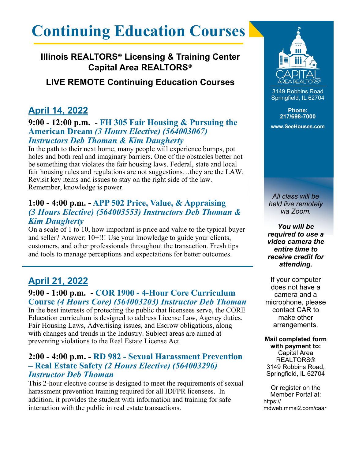# **Continuing Education Courses**

## **Illinois REALTORS® Licensing & Training Center Capital Area REALTORS®**

## **LIVE REMOTE Continuing Education Courses**

## **April 14, 2022**

### **9:00 - 12:00 p.m. - FH 305 Fair Housing & Pursuing the American Dream** *(3 Hours Elective) (564003067) Instructors Deb Thoman & Kim Daugherty*

In the path to their next home, many people will experience bumps, pot holes and both real and imaginary barriers. One of the obstacles better not be something that violates the fair housing laws. Federal, state and local fair housing rules and regulations are not suggestions…they are the LAW. Revisit key items and issues to stay on the right side of the law. Remember, knowledge is power.

#### **1:00 - 4:00 p.m. - APP 502 Price, Value, & Appraising**  *(3 Hours Elective) (564003553) Instructors Deb Thoman & Kim Daugherty*

On a scale of 1 to 10, how important is price and value to the typical buyer and seller? Answer: 10+!!! Use your knowledge to guide your clients, customers, and other professionals throughout the transaction. Fresh tips and tools to manage perceptions and expectations for better outcomes.

## **April 21, 2022**

#### **9:00 - 1:00 p.m. - COR 1900 - 4-Hour Core Curriculum Course** *(4 Hours Core) (564003203) Instructor Deb Thoman*

In the best interests of protecting the public that licensees serve, the CORE Education curriculum is designed to address License Law, Agency duties, Fair Housing Laws, Advertising issues, and Escrow obligations, along with changes and trends in the Industry. Subject areas are aimed at preventing violations to the Real Estate License Act.

#### **2:00 - 4:00 p.m. - RD 982 - Sexual Harassment Prevention – Real Estate Safety** *(2 Hours Elective) (564003296) Instructor Deb Thoman*

This 2-hour elective course is designed to meet the requirements of sexual harassment prevention training required for all IDFPR licensees. In addition, it provides the student with information and training for safe interaction with the public in real estate transactions.



3149 Robbins Road Springfield, IL 62704

**Phone: 217/698-7000 www.SeeHouses.com** 

*All class will be held live remotely via Zoom.* 

*You will be required to use a video camera the entire time to receive credit for attending.* 

If your computer does not have a camera and a microphone, please contact CAR to make other arrangements.

#### **Mail completed form with payment to:**  Capital Area

REALTORS® 3149 Robbins Road, Springfield, IL 62704

Or register on the Member Portal at: https:// mdweb.mmsi2.com/caar